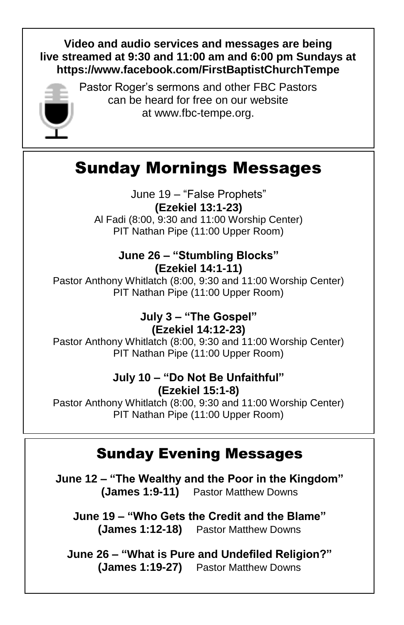#### **Video and audio services and messages are being live streamed at 9:30 and 11:00 am and 6:00 pm Sundays at <https://www.facebook.com/FirstBaptistChurchTempe>**



Pastor Roger's sermons and other FBC Pastors can be heard for free on our website at [www.fbc-tempe.org.](http://www.fbc-tempe.org/)

# Sunday Mornings Messages

June 19 – "False Prophets" **(Ezekiel 13:1-23)** Al Fadi (8:00, 9:30 and 11:00 Worship Center) PIT Nathan Pipe (11:00 Upper Room)

#### **June 26 – "Stumbling Blocks" (Ezekiel 14:1-11)**

Pastor Anthony Whitlatch (8:00, 9:30 and 11:00 Worship Center) PIT Nathan Pipe (11:00 Upper Room)

> **July 3 – "The Gospel" (Ezekiel 14:12-23)**

Pastor Anthony Whitlatch (8:00, 9:30 and 11:00 Worship Center) PIT Nathan Pipe (11:00 Upper Room)

### **July 10 – "Do Not Be Unfaithful" (Ezekiel 15:1-8)**

Pastor Anthony Whitlatch (8:00, 9:30 and 11:00 Worship Center) PIT Nathan Pipe (11:00 Upper Room)

## Sunday Evening Messages

**June 12 – "The Wealthy and the Poor in the Kingdom" (James 1:9-11)** Pastor Matthew Downs

**June 19 – "Who Gets the Credit and the Blame" (James 1:12-18)** Pastor Matthew Downs

**June 26 – "What is Pure and Undefiled Religion?" (James 1:19-27)** Pastor Matthew Downs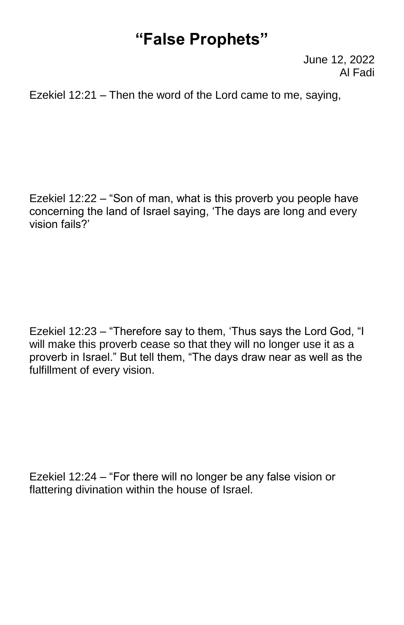## **"False Prophets"**

June 12, 2022 Al Fadi

Ezekiel 12:21 – Then the word of the Lord came to me, saying,

Ezekiel 12:22 – "Son of man, what is this proverb you people have concerning the land of Israel saying, 'The days are long and every vision fails?'

Ezekiel 12:23 – "Therefore say to them, 'Thus says the Lord God, "I will make this proverb cease so that they will no longer use it as a proverb in Israel." But tell them, "The days draw near as well as the fulfillment of every vision.

Ezekiel 12:24 – "For there will no longer be any false vision or flattering divination within the house of Israel.